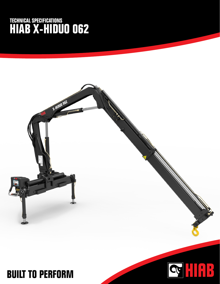## **TECHNICAL SPECIFICATIONS HIAB X-HIDUO 062**